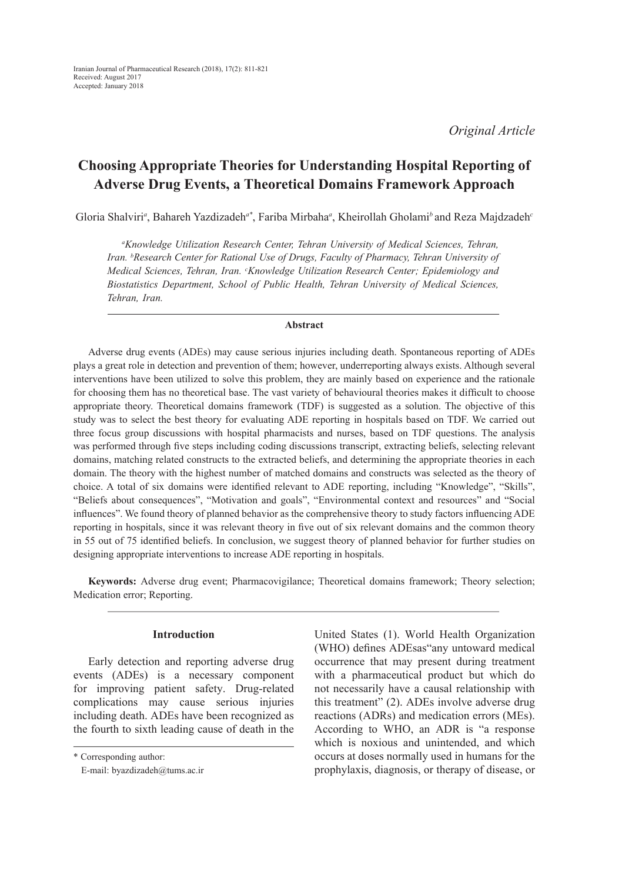*Original Article*

# **Choosing Appropriate Theories for Understanding Hospital Reporting of Adverse Drug Events, a Theoretical Domains Framework Approach**

Gloria Shalviri*<sup>a</sup>* , Bahareh Yazdizadeh*a\**, Fariba Mirbaha*<sup>a</sup>* , Kheirollah Gholami*<sup>b</sup>*and Reza Majdzadeh*<sup>c</sup>*

*a Knowledge Utilization Research Center, Tehran University of Medical Sciences, Tehran, Iran. bResearch Center for Rational Use of Drugs, Faculty of Pharmacy, Tehran University of Medical Sciences, Tehran, Iran. c Knowledge Utilization Research Center; Epidemiology and Biostatistics Department, School of Public Health, Tehran University of Medical Sciences, Tehran, Iran.*

#### **Abstract**

Adverse drug events (ADEs) may cause serious injuries including death. Spontaneous reporting of ADEs plays a great role in detection and prevention of them; however, underreporting always exists. Although several interventions have been utilized to solve this problem, they are mainly based on experience and the rationale for choosing them has no theoretical base. The vast variety of behavioural theories makes it difficult to choose appropriate theory. Theoretical domains framework (TDF) is suggested as a solution. The objective of this study was to select the best theory for evaluating ADE reporting in hospitals based on TDF. We carried out three focus group discussions with hospital pharmacists and nurses, based on TDF questions. The analysis was performed through five steps including coding discussions transcript, extracting beliefs, selecting relevant domains, matching related constructs to the extracted beliefs, and determining the appropriate theories in each domain. The theory with the highest number of matched domains and constructs was selected as the theory of choice. A total of six domains were identified relevant to ADE reporting, including "Knowledge", "Skills", "Beliefs about consequences", "Motivation and goals", "Environmental context and resources" and "Social influences". We found theory of planned behavior as the comprehensive theory to study factors influencing ADE reporting in hospitals, since it was relevant theory in five out of six relevant domains and the common theory in 55 out of 75 identified beliefs. In conclusion, we suggest theory of planned behavior for further studies on designing appropriate interventions to increase ADE reporting in hospitals.

**Keywords:** Adverse drug event; Pharmacovigilance; Theoretical domains framework; Theory selection; Medication error; Reporting.

#### **Introduction**

Early detection and reporting adverse drug events (ADEs) is a necessary component for improving patient safety. Drug-related complications may cause serious injuries including death. ADEs have been recognized as the fourth to sixth leading cause of death in the

\* Corresponding author:

United States (1). World Health Organization (WHO) defines ADEsas"any untoward medical occurrence that may present during treatment with a pharmaceutical product but which do not necessarily have a causal relationship with this treatment" (2). ADEs involve adverse drug reactions (ADRs) and medication errors (MEs). According to WHO, an ADR is "a response which is noxious and unintended, and which occurs at doses normally used in humans for the prophylaxis, diagnosis, or therapy of disease, or

E-mail: byazdizadeh@tums.ac.ir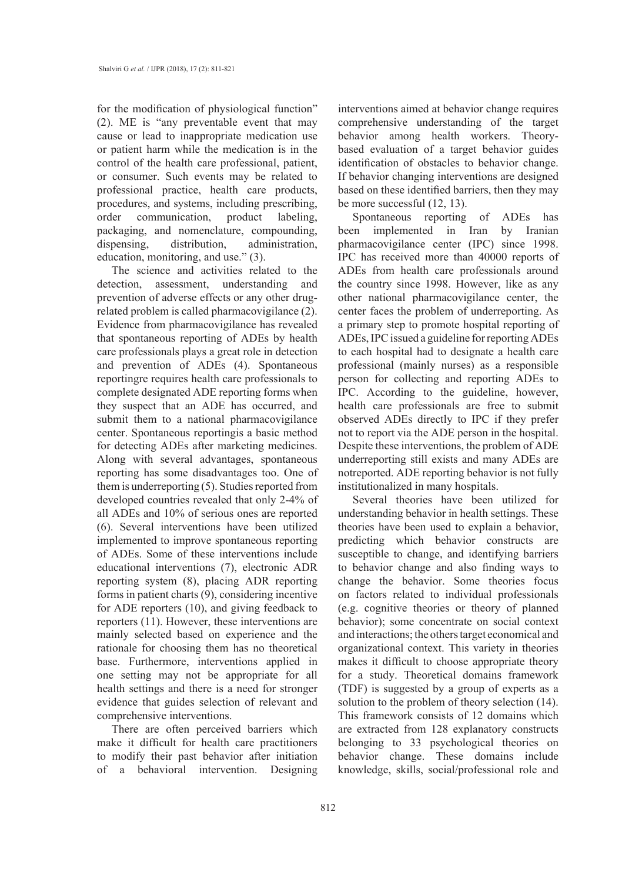for the modification of physiological function" (2). ME is "any preventable event that may cause or lead to inappropriate medication use or patient harm while the medication is in the control of the health care professional, patient, or consumer. Such events may be related to professional practice, health care products, procedures, and systems, including prescribing, order communication, product labeling, packaging, and nomenclature, compounding, dispensing, distribution, administration, education, monitoring, and use." (3).

The science and activities related to the detection, assessment, understanding and prevention of adverse effects or any other drugrelated problem is called pharmacovigilance (2). Evidence from pharmacovigilance has revealed that spontaneous reporting of ADEs by health care professionals plays a great role in detection and prevention of ADEs (4). Spontaneous reportingre requires health care professionals to complete designated ADE reporting forms when they suspect that an ADE has occurred, and submit them to a national pharmacovigilance center. Spontaneous reportingis a basic method for detecting ADEs after marketing medicines. Along with several advantages, spontaneous reporting has some disadvantages too. One of them is underreporting (5). Studies reported from developed countries revealed that only 2-4% of all ADEs and 10% of serious ones are reported (6). Several interventions have been utilized implemented to improve spontaneous reporting of ADEs. Some of these interventions include educational interventions (7), electronic ADR reporting system (8), placing ADR reporting forms in patient charts (9), considering incentive for ADE reporters (10), and giving feedback to reporters (11). However, these interventions are mainly selected based on experience and the rationale for choosing them has no theoretical base. Furthermore, interventions applied in one setting may not be appropriate for all health settings and there is a need for stronger evidence that guides selection of relevant and comprehensive interventions.

There are often perceived barriers which make it difficult for health care practitioners to modify their past behavior after initiation of a behavioral intervention. Designing interventions aimed at behavior change requires comprehensive understanding of the target behavior among health workers. Theorybased evaluation of a target behavior guides identification of obstacles to behavior change. If behavior changing interventions are designed based on these identified barriers, then they may be more successful (12, 13).

Spontaneous reporting of ADEs has been implemented in Iran by Iranian pharmacovigilance center (IPC) since 1998. IPC has received more than 40000 reports of ADEs from health care professionals around the country since 1998. However, like as any other national pharmacovigilance center, the center faces the problem of underreporting. As a primary step to promote hospital reporting of ADEs, IPC issued a guideline for reporting ADEs to each hospital had to designate a health care professional (mainly nurses) as a responsible person for collecting and reporting ADEs to IPC. According to the guideline, however, health care professionals are free to submit observed ADEs directly to IPC if they prefer not to report via the ADE person in the hospital. Despite these interventions, the problem of ADE underreporting still exists and many ADEs are notreported. ADE reporting behavior is not fully institutionalized in many hospitals.

Several theories have been utilized for understanding behavior in health settings. These theories have been used to explain a behavior, predicting which behavior constructs are susceptible to change, and identifying barriers to behavior change and also finding ways to change the behavior. Some theories focus on factors related to individual professionals (e.g. cognitive theories or theory of planned behavior); some concentrate on social context and interactions; the others target economical and organizational context. This variety in theories makes it difficult to choose appropriate theory for a study. Theoretical domains framework (TDF) is suggested by a group of experts as a solution to the problem of theory selection (14). This framework consists of 12 domains which are extracted from 128 explanatory constructs belonging to 33 psychological theories on behavior change. These domains include knowledge, skills, social/professional role and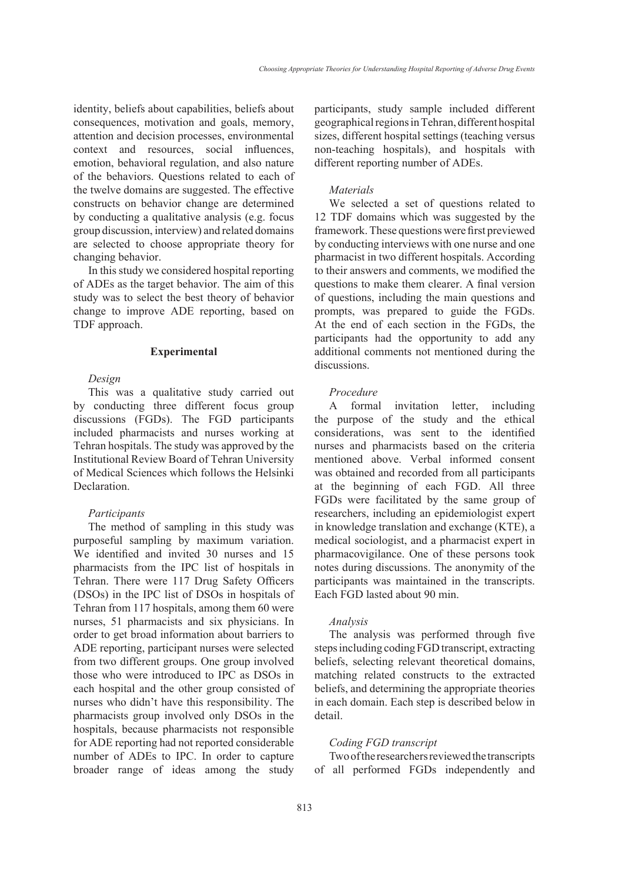identity, beliefs about capabilities, beliefs about consequences, motivation and goals, memory, attention and decision processes, environmental context and resources, social influences, emotion, behavioral regulation, and also nature of the behaviors. Questions related to each of the twelve domains are suggested. The effective constructs on behavior change are determined by conducting a qualitative analysis (e.g. focus group discussion, interview) and related domains are selected to choose appropriate theory for changing behavior.

In this study we considered hospital reporting of ADEs as the target behavior. The aim of this study was to select the best theory of behavior change to improve ADE reporting, based on TDF approach.

#### **Experimental**

## *Design*

This was a qualitative study carried out by conducting three different focus group discussions (FGDs). The FGD participants included pharmacists and nurses working at Tehran hospitals. The study was approved by the Institutional Review Board of Tehran University of Medical Sciences which follows the Helsinki **Declaration** 

## *Participants*

The method of sampling in this study was purposeful sampling by maximum variation. We identified and invited 30 nurses and 15 pharmacists from the IPC list of hospitals in Tehran. There were 117 Drug Safety Officers (DSOs) in the IPC list of DSOs in hospitals of Tehran from 117 hospitals, among them 60 were nurses, 51 pharmacists and six physicians. In order to get broad information about barriers to ADE reporting, participant nurses were selected from two different groups. One group involved those who were introduced to IPC as DSOs in each hospital and the other group consisted of nurses who didn't have this responsibility. The pharmacists group involved only DSOs in the hospitals, because pharmacists not responsible for ADE reporting had not reported considerable number of ADEs to IPC. In order to capture broader range of ideas among the study

participants, study sample included different geographical regions in Tehran, different hospital sizes, different hospital settings (teaching versus non-teaching hospitals), and hospitals with different reporting number of ADEs.

#### *Materials*

We selected a set of questions related to 12 TDF domains which was suggested by the framework. These questions were first previewed by conducting interviews with one nurse and one pharmacist in two different hospitals. According to their answers and comments, we modified the questions to make them clearer. A final version of questions, including the main questions and prompts, was prepared to guide the FGDs. At the end of each section in the FGDs, the participants had the opportunity to add any additional comments not mentioned during the discussions.

#### *Procedure*

A formal invitation letter, including the purpose of the study and the ethical considerations, was sent to the identified nurses and pharmacists based on the criteria mentioned above. Verbal informed consent was obtained and recorded from all participants at the beginning of each FGD. All three FGDs were facilitated by the same group of researchers, including an epidemiologist expert in knowledge translation and exchange (KTE), a medical sociologist, and a pharmacist expert in pharmacovigilance. One of these persons took notes during discussions. The anonymity of the participants was maintained in the transcripts. Each FGD lasted about 90 min.

#### *Analysis*

The analysis was performed through five steps including coding FGD transcript, extracting beliefs, selecting relevant theoretical domains, matching related constructs to the extracted beliefs, and determining the appropriate theories in each domain. Each step is described below in detail.

#### *Coding FGD transcript*

Two of the researchers reviewed the transcripts of all performed FGDs independently and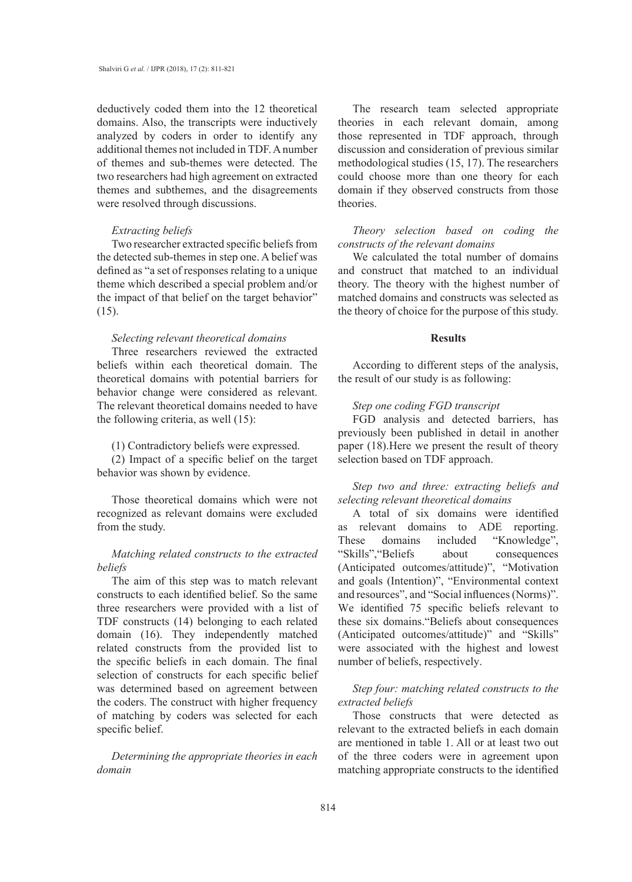deductively coded them into the 12 theoretical domains. Also, the transcripts were inductively analyzed by coders in order to identify any additional themes not included in TDF. A number of themes and sub-themes were detected. The two researchers had high agreement on extracted themes and subthemes, and the disagreements were resolved through discussions.

## *Extracting beliefs*

Two researcher extracted specific beliefs from the detected sub-themes in step one. A belief was defined as "a set of responses relating to a unique theme which described a special problem and/or the impact of that belief on the target behavior" (15).

## *Selecting relevant theoretical domains*

Three researchers reviewed the extracted beliefs within each theoretical domain. The theoretical domains with potential barriers for behavior change were considered as relevant. The relevant theoretical domains needed to have the following criteria, as well (15):

(1) Contradictory beliefs were expressed.

(2) Impact of a specific belief on the target behavior was shown by evidence.

Those theoretical domains which were not recognized as relevant domains were excluded from the study.

## *Matching related constructs to the extracted beliefs*

The aim of this step was to match relevant constructs to each identified belief. So the same three researchers were provided with a list of TDF constructs (14) belonging to each related domain (16). They independently matched related constructs from the provided list to the specific beliefs in each domain. The final selection of constructs for each specific belief was determined based on agreement between the coders. The construct with higher frequency of matching by coders was selected for each specific belief.

*Determining the appropriate theories in each domain*

The research team selected appropriate theories in each relevant domain, among those represented in TDF approach, through discussion and consideration of previous similar methodological studies (15, 17). The researchers could choose more than one theory for each domain if they observed constructs from those theories.

## *Theory selection based on coding the constructs of the relevant domains*

We calculated the total number of domains and construct that matched to an individual theory. The theory with the highest number of matched domains and constructs was selected as the theory of choice for the purpose of this study.

#### **Results**

According to different steps of the analysis, the result of our study is as following:

#### *Step one coding FGD transcript*

FGD analysis and detected barriers, has previously been published in detail in another paper (18).Here we present the result of theory selection based on TDF approach.

*Step two and three: extracting beliefs and selecting relevant theoretical domains*

A total of six domains were identified as relevant domains to ADE reporting. These domains included "Knowledge", "Skills","Beliefs about consequences (Anticipated outcomes/attitude)", "Motivation and goals (Intention)", "Environmental context and resources", and "Social influences (Norms)". We identified 75 specific beliefs relevant to these six domains."Beliefs about consequences (Anticipated outcomes/attitude)" and "Skills" were associated with the highest and lowest number of beliefs, respectively.

## *Step four: matching related constructs to the extracted beliefs*

Those constructs that were detected as relevant to the extracted beliefs in each domain are mentioned in table 1. All or at least two out of the three coders were in agreement upon matching appropriate constructs to the identified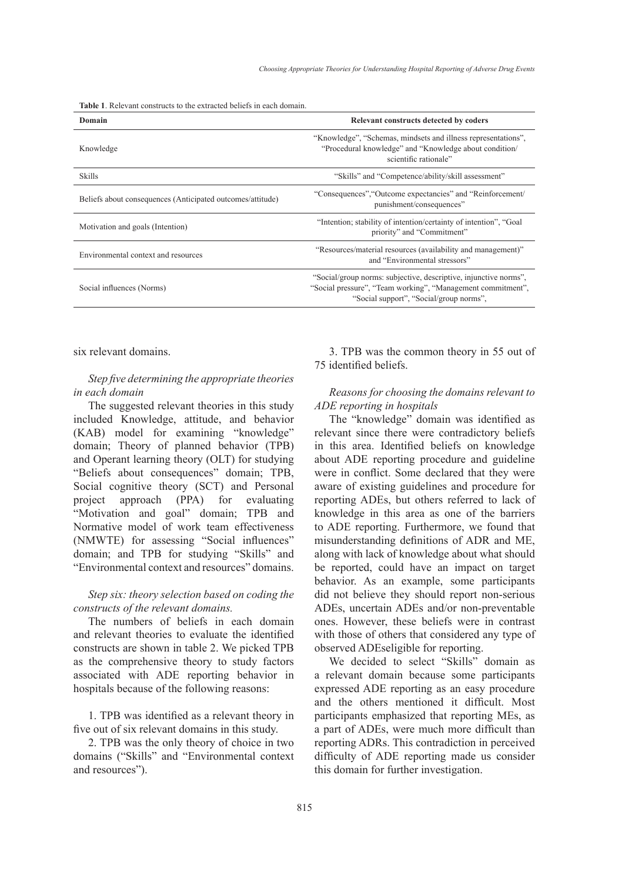**Table 1**. Relevant constructs to the extracted beliefs in each domain.

| Domain                                                     | Relevant constructs detected by coders                                                                                                                                     |
|------------------------------------------------------------|----------------------------------------------------------------------------------------------------------------------------------------------------------------------------|
| Knowledge                                                  | "Knowledge", "Schemas, mindsets and illness representations",<br>"Procedural knowledge" and "Knowledge about condition/<br>scientific rationale"                           |
| <b>Skills</b>                                              | "Skills" and "Competence/ability/skill assessment"                                                                                                                         |
| Beliefs about consequences (Anticipated outcomes/attitude) | "Consequences", "Outcome expectancies" and "Reinforcement/<br>punishment/consequences"                                                                                     |
| Motivation and goals (Intention)                           | "Intention; stability of intention/certainty of intention", "Goal"<br>priority" and "Commitment"                                                                           |
| Environmental context and resources                        | "Resources/material resources (availability and management)"<br>and "Environmental stressors"                                                                              |
| Social influences (Norms)                                  | "Social/group norms: subjective, descriptive, injunctive norms",<br>"Social pressure", "Team working", "Management commitment",<br>"Social support", "Social/group norms", |

six relevant domains.

## *Step five determining the appropriate theories in each domain*

The suggested relevant theories in this study included Knowledge, attitude, and behavior (KAB) model for examining "knowledge" domain; Theory of planned behavior (TPB) and Operant learning theory (OLT) for studying "Beliefs about consequences" domain; TPB, Social cognitive theory (SCT) and Personal project approach (PPA) for evaluating "Motivation and goal" domain; TPB and Normative model of work team effectiveness (NMWTE) for assessing "Social influences" domain; and TPB for studying "Skills" and "Environmental context and resources" domains.

## *Step six: theory selection based on coding the constructs of the relevant domains.*

The numbers of beliefs in each domain and relevant theories to evaluate the identified constructs are shown in table 2. We picked TPB as the comprehensive theory to study factors associated with ADE reporting behavior in hospitals because of the following reasons:

1. TPB was identified as a relevant theory in five out of six relevant domains in this study.

2. TPB was the only theory of choice in two domains ("Skills" and "Environmental context and resources").

3. TPB was the common theory in 55 out of 75 identified beliefs.

## *Reasons for choosing the domains relevant to ADE reporting in hospitals*

The "knowledge" domain was identified as relevant since there were contradictory beliefs in this area. Identified beliefs on knowledge about ADE reporting procedure and guideline were in conflict. Some declared that they were aware of existing guidelines and procedure for reporting ADEs, but others referred to lack of knowledge in this area as one of the barriers to ADE reporting. Furthermore, we found that misunderstanding definitions of ADR and ME, along with lack of knowledge about what should be reported, could have an impact on target behavior. As an example, some participants did not believe they should report non-serious ADEs, uncertain ADEs and/or non-preventable ones. However, these beliefs were in contrast with those of others that considered any type of observed ADEseligible for reporting.

We decided to select "Skills" domain as a relevant domain because some participants expressed ADE reporting as an easy procedure and the others mentioned it difficult. Most participants emphasized that reporting MEs, as a part of ADEs, were much more difficult than reporting ADRs. This contradiction in perceived difficulty of ADE reporting made us consider this domain for further investigation.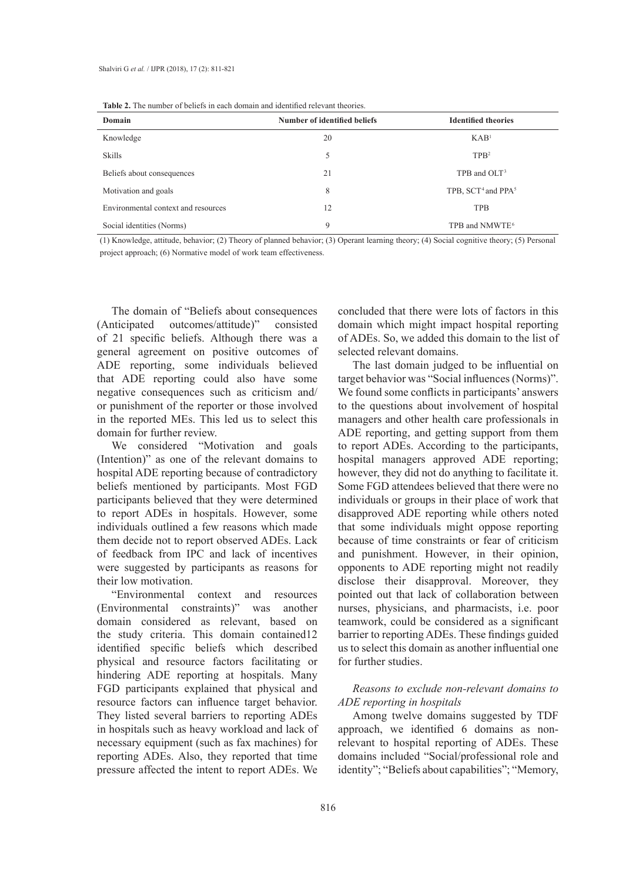| <b>Table 2.</b> The number of beliefs in each domain and identified relevant theories. |  |
|----------------------------------------------------------------------------------------|--|
|----------------------------------------------------------------------------------------|--|

| Domain                              | Number of identified beliefs | <b>Identified theories</b>                 |
|-------------------------------------|------------------------------|--------------------------------------------|
| Knowledge                           | 20                           | KAB <sup>1</sup>                           |
| <b>Skills</b>                       | 5                            | TPB <sup>2</sup>                           |
| Beliefs about consequences          | 21                           | TPB and OLT <sup>3</sup>                   |
| Motivation and goals                | 8                            | TPB, SCT <sup>4</sup> and PPA <sup>5</sup> |
| Environmental context and resources | 12                           | <b>TPB</b>                                 |
| Social identities (Norms)           | 9                            | TPB and NMWTE <sup>6</sup>                 |

(1) Knowledge, attitude, behavior; (2) Theory of planned behavior; (3) Operant learning theory; (4) Social cognitive theory; (5) Personal project approach; (6) Normative model of work team effectiveness.

The domain of "Beliefs about consequences (Anticipated outcomes/attitude)" consisted of 21 specific beliefs. Although there was a general agreement on positive outcomes of ADE reporting, some individuals believed that ADE reporting could also have some negative consequences such as criticism and/ or punishment of the reporter or those involved in the reported MEs. This led us to select this domain for further review.

We considered "Motivation and goals (Intention)" as one of the relevant domains to hospital ADE reporting because of contradictory beliefs mentioned by participants. Most FGD participants believed that they were determined to report ADEs in hospitals. However, some individuals outlined a few reasons which made them decide not to report observed ADEs. Lack of feedback from IPC and lack of incentives were suggested by participants as reasons for their low motivation.

"Environmental context and resources (Environmental constraints)" was another domain considered as relevant, based on the study criteria. This domain contained12 identified specific beliefs which described physical and resource factors facilitating or hindering ADE reporting at hospitals. Many FGD participants explained that physical and resource factors can influence target behavior. They listed several barriers to reporting ADEs in hospitals such as heavy workload and lack of necessary equipment (such as fax machines) for reporting ADEs. Also, they reported that time pressure affected the intent to report ADEs. We

concluded that there were lots of factors in this domain which might impact hospital reporting of ADEs. So, we added this domain to the list of selected relevant domains.

The last domain judged to be influential on target behavior was "Social influences (Norms)". We found some conflicts in participants' answers to the questions about involvement of hospital managers and other health care professionals in ADE reporting, and getting support from them to report ADEs. According to the participants, hospital managers approved ADE reporting; however, they did not do anything to facilitate it. Some FGD attendees believed that there were no individuals or groups in their place of work that disapproved ADE reporting while others noted that some individuals might oppose reporting because of time constraints or fear of criticism and punishment. However, in their opinion, opponents to ADE reporting might not readily disclose their disapproval. Moreover, they pointed out that lack of collaboration between nurses, physicians, and pharmacists, i.e. poor teamwork, could be considered as a significant barrier to reporting ADEs. These findings guided us to select this domain as another influential one for further studies.

## *Reasons to exclude non-relevant domains to ADE reporting in hospitals*

Among twelve domains suggested by TDF approach, we identified 6 domains as nonrelevant to hospital reporting of ADEs. These domains included "Social/professional role and identity"; "Beliefs about capabilities"; "Memory,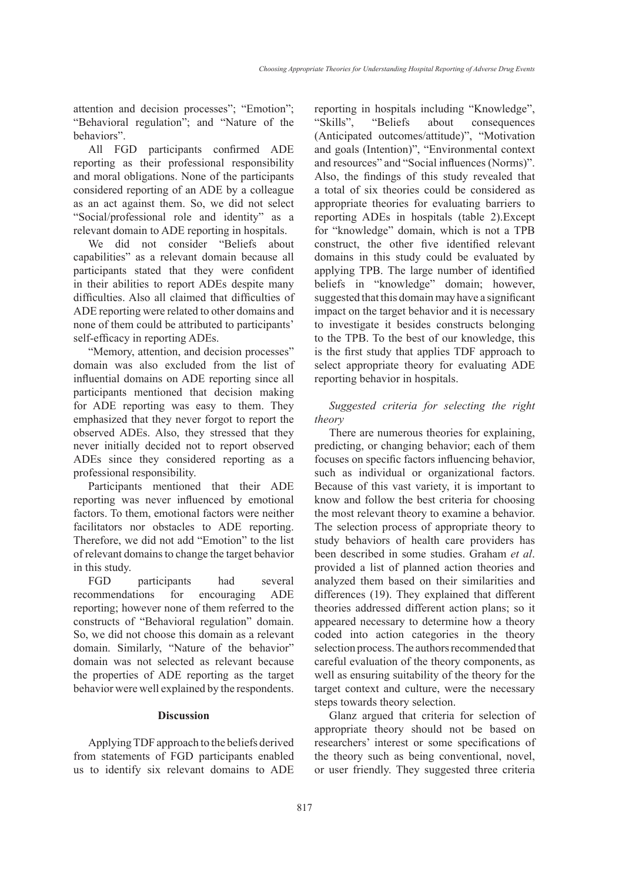attention and decision processes"; "Emotion"; "Behavioral regulation"; and "Nature of the behaviors".

All FGD participants confirmed ADE reporting as their professional responsibility and moral obligations. None of the participants considered reporting of an ADE by a colleague as an act against them. So, we did not select "Social/professional role and identity" as a relevant domain to ADE reporting in hospitals.

We did not consider "Beliefs about capabilities" as a relevant domain because all participants stated that they were confident in their abilities to report ADEs despite many difficulties. Also all claimed that difficulties of ADE reporting were related to other domains and none of them could be attributed to participants' self-efficacy in reporting ADEs.

"Memory, attention, and decision processes" domain was also excluded from the list of influential domains on ADE reporting since all participants mentioned that decision making for ADE reporting was easy to them. They emphasized that they never forgot to report the observed ADEs. Also, they stressed that they never initially decided not to report observed ADEs since they considered reporting as a professional responsibility.

Participants mentioned that their ADE reporting was never influenced by emotional factors. To them, emotional factors were neither facilitators nor obstacles to ADE reporting. Therefore, we did not add "Emotion" to the list of relevant domains to change the target behavior in this study.

FGD participants had several recommendations for encouraging ADE reporting; however none of them referred to the constructs of "Behavioral regulation" domain. So, we did not choose this domain as a relevant domain. Similarly, "Nature of the behavior" domain was not selected as relevant because the properties of ADE reporting as the target behavior were well explained by the respondents.

#### **Discussion**

Applying TDF approach to the beliefs derived from statements of FGD participants enabled us to identify six relevant domains to ADE reporting in hospitals including "Knowledge", "Skills", "Beliefs about consequences (Anticipated outcomes/attitude)", "Motivation and goals (Intention)", "Environmental context and resources" and "Social influences (Norms)". Also, the findings of this study revealed that a total of six theories could be considered as appropriate theories for evaluating barriers to reporting ADEs in hospitals (table 2).Except for "knowledge" domain, which is not a TPB construct, the other five identified relevant domains in this study could be evaluated by applying TPB. The large number of identified beliefs in "knowledge" domain; however, suggested that this domain may have a significant impact on the target behavior and it is necessary to investigate it besides constructs belonging to the TPB. To the best of our knowledge, this is the first study that applies TDF approach to select appropriate theory for evaluating ADE reporting behavior in hospitals.

## *Suggested criteria for selecting the right theory*

There are numerous theories for explaining, predicting, or changing behavior; each of them focuses on specific factors influencing behavior, such as individual or organizational factors. Because of this vast variety, it is important to know and follow the best criteria for choosing the most relevant theory to examine a behavior. The selection process of appropriate theory to study behaviors of health care providers has been described in some studies. Graham *et al*. provided a list of planned action theories and analyzed them based on their similarities and differences (19). They explained that different theories addressed different action plans; so it appeared necessary to determine how a theory coded into action categories in the theory selection process. The authors recommended that careful evaluation of the theory components, as well as ensuring suitability of the theory for the target context and culture, were the necessary steps towards theory selection.

Glanz argued that criteria for selection of appropriate theory should not be based on researchers' interest or some specifications of the theory such as being conventional, novel, or user friendly. They suggested three criteria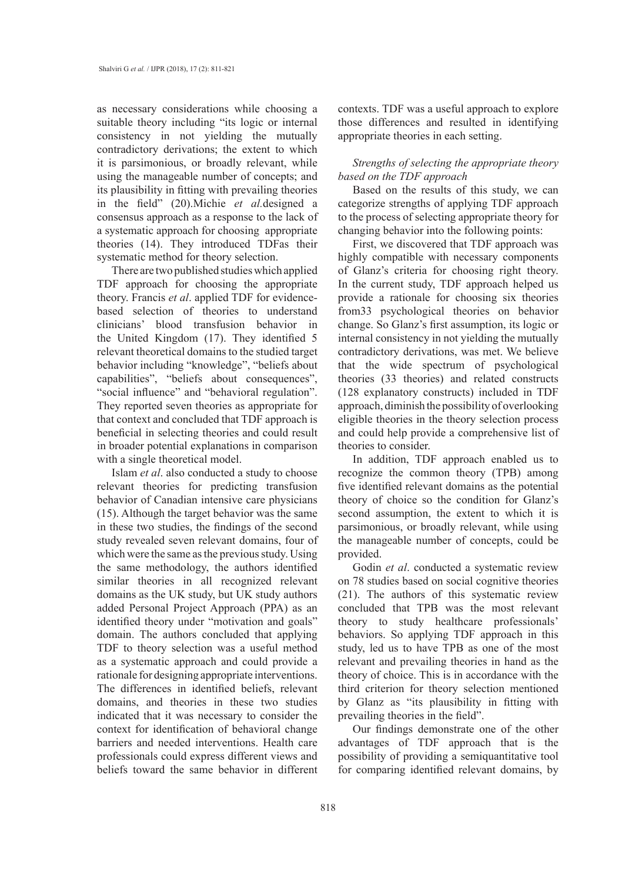as necessary considerations while choosing a suitable theory including "its logic or internal consistency in not yielding the mutually contradictory derivations; the extent to which it is parsimonious, or broadly relevant, while using the manageable number of concepts; and its plausibility in fitting with prevailing theories in the field" (20).Michie *et al.*designed a consensus approach as a response to the lack of a systematic approach for choosing appropriate theories (14). They introduced TDFas their systematic method for theory selection.

There are two published studies which applied TDF approach for choosing the appropriate theory. Francis *et al*. applied TDF for evidencebased selection of theories to understand clinicians' blood transfusion behavior in the United Kingdom (17). They identified 5 relevant theoretical domains to the studied target behavior including "knowledge", "beliefs about capabilities", "beliefs about consequences", "social influence" and "behavioral regulation". They reported seven theories as appropriate for that context and concluded that TDF approach is beneficial in selecting theories and could result in broader potential explanations in comparison with a single theoretical model.

Islam *et al*. also conducted a study to choose relevant theories for predicting transfusion behavior of Canadian intensive care physicians (15). Although the target behavior was the same in these two studies, the findings of the second study revealed seven relevant domains, four of which were the same as the previous study. Using the same methodology, the authors identified similar theories in all recognized relevant domains as the UK study, but UK study authors added Personal Project Approach (PPA) as an identified theory under "motivation and goals" domain. The authors concluded that applying TDF to theory selection was a useful method as a systematic approach and could provide a rationale for designing appropriate interventions. The differences in identified beliefs, relevant domains, and theories in these two studies indicated that it was necessary to consider the context for identification of behavioral change barriers and needed interventions. Health care professionals could express different views and beliefs toward the same behavior in different contexts. TDF was a useful approach to explore those differences and resulted in identifying appropriate theories in each setting.

## *Strengths of selecting the appropriate theory based on the TDF approach*

Based on the results of this study, we can categorize strengths of applying TDF approach to the process of selecting appropriate theory for changing behavior into the following points:

First, we discovered that TDF approach was highly compatible with necessary components of Glanz's criteria for choosing right theory. In the current study, TDF approach helped us provide a rationale for choosing six theories from33 psychological theories on behavior change. So Glanz's first assumption, its logic or internal consistency in not yielding the mutually contradictory derivations, was met. We believe that the wide spectrum of psychological theories (33 theories) and related constructs (128 explanatory constructs) included in TDF approach, diminish the possibility of overlooking eligible theories in the theory selection process and could help provide a comprehensive list of theories to consider.

In addition, TDF approach enabled us to recognize the common theory (TPB) among five identified relevant domains as the potential theory of choice so the condition for Glanz's second assumption, the extent to which it is parsimonious, or broadly relevant, while using the manageable number of concepts, could be provided.

Godin *et al*. conducted a systematic review on 78 studies based on social cognitive theories (21). The authors of this systematic review concluded that TPB was the most relevant theory to study healthcare professionals' behaviors. So applying TDF approach in this study, led us to have TPB as one of the most relevant and prevailing theories in hand as the theory of choice. This is in accordance with the third criterion for theory selection mentioned by Glanz as "its plausibility in fitting with prevailing theories in the field".

Our findings demonstrate one of the other advantages of TDF approach that is the possibility of providing a semiquantitative tool for comparing identified relevant domains, by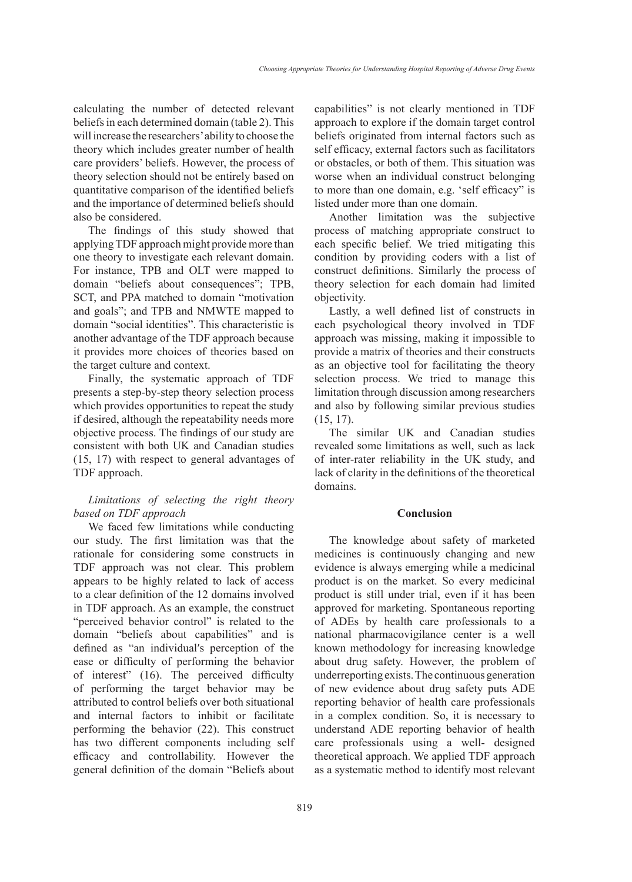calculating the number of detected relevant beliefs in each determined domain (table 2). This will increase the researchers' ability to choose the theory which includes greater number of health care providers' beliefs. However, the process of theory selection should not be entirely based on quantitative comparison of the identified beliefs and the importance of determined beliefs should also be considered.

The findings of this study showed that applying TDF approach might provide more than one theory to investigate each relevant domain. For instance, TPB and OLT were mapped to domain "beliefs about consequences"; TPB, SCT, and PPA matched to domain "motivation and goals"; and TPB and NMWTE mapped to domain "social identities". This characteristic is another advantage of the TDF approach because it provides more choices of theories based on the target culture and context.

Finally, the systematic approach of TDF presents a step-by-step theory selection process which provides opportunities to repeat the study if desired, although the repeatability needs more objective process. The findings of our study are consistent with both UK and Canadian studies (15, 17) with respect to general advantages of TDF approach.

# *Limitations of selecting the right theory based on TDF approach*

We faced few limitations while conducting our study. The first limitation was that the rationale for considering some constructs in TDF approach was not clear. This problem appears to be highly related to lack of access to a clear definition of the 12 domains involved in TDF approach. As an example, the construct "perceived behavior control" is related to the domain "beliefs about capabilities" and is defined as "an individualʹs perception of the ease or difficulty of performing the behavior of interest" (16). The perceived difficulty of performing the target behavior may be attributed to control beliefs over both situational and internal factors to inhibit or facilitate performing the behavior (22). This construct has two different components including self efficacy and controllability. However the general definition of the domain "Beliefs about capabilities" is not clearly mentioned in TDF approach to explore if the domain target control beliefs originated from internal factors such as self efficacy, external factors such as facilitators or obstacles, or both of them. This situation was worse when an individual construct belonging to more than one domain, e.g. 'self efficacy" is listed under more than one domain.

Another limitation was the subjective process of matching appropriate construct to each specific belief. We tried mitigating this condition by providing coders with a list of construct definitions. Similarly the process of theory selection for each domain had limited objectivity.

Lastly, a well defined list of constructs in each psychological theory involved in TDF approach was missing, making it impossible to provide a matrix of theories and their constructs as an objective tool for facilitating the theory selection process. We tried to manage this limitation through discussion among researchers and also by following similar previous studies (15, 17).

The similar UK and Canadian studies revealed some limitations as well, such as lack of inter-rater reliability in the UK study, and lack of clarity in the definitions of the theoretical domains.

#### **Conclusion**

The knowledge about safety of marketed medicines is continuously changing and new evidence is always emerging while a medicinal product is on the market. So every medicinal product is still under trial, even if it has been approved for marketing. Spontaneous reporting of ADEs by health care professionals to a national pharmacovigilance center is a well known methodology for increasing knowledge about drug safety. However, the problem of underreporting exists. The continuous generation of new evidence about drug safety puts ADE reporting behavior of health care professionals in a complex condition. So, it is necessary to understand ADE reporting behavior of health care professionals using a well- designed theoretical approach. We applied TDF approach as a systematic method to identify most relevant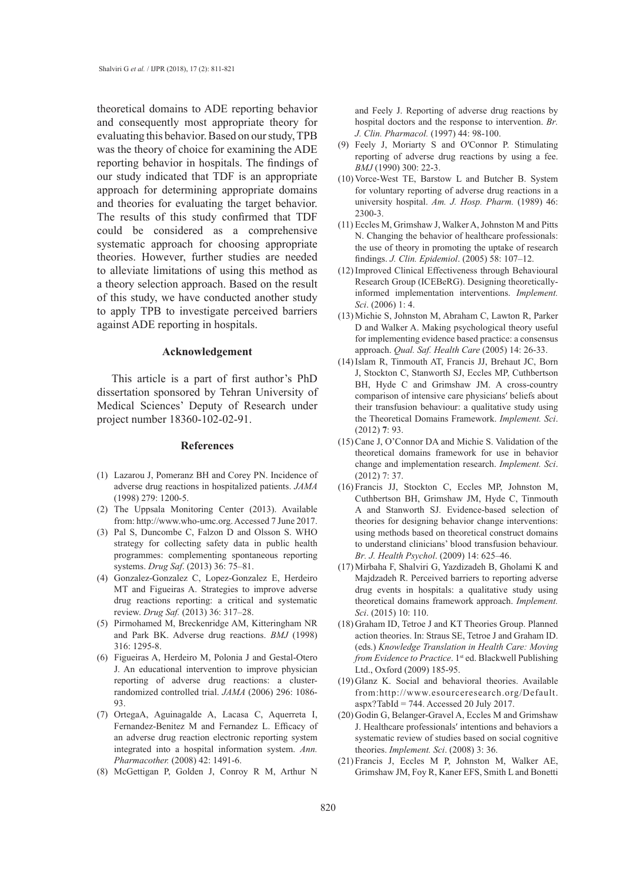theoretical domains to ADE reporting behavior and consequently most appropriate theory for evaluating this behavior. Based on our study, TPB was the theory of choice for examining the ADE reporting behavior in hospitals. The findings of our study indicated that TDF is an appropriate approach for determining appropriate domains and theories for evaluating the target behavior. The results of this study confirmed that TDF could be considered as a comprehensive systematic approach for choosing appropriate theories. However, further studies are needed to alleviate limitations of using this method as a theory selection approach. Based on the result of this study, we have conducted another study to apply TPB to investigate perceived barriers against ADE reporting in hospitals.

#### **Acknowledgement**

This article is a part of first author's PhD dissertation sponsored by Tehran University of Medical Sciences' Deputy of Research under project number 18360-102-02-91.

#### **References**

- Lazarou J, Pomeranz BH and Corey PN. Incidence of (1) adverse drug reactions in hospitalized patients. *JAMA*  (1998) 279: 1200-5.
- $(2)$  The Uppsala Monitoring Center  $(2013)$ . Available from: http://www.who-umc.org. Accessed 7 June 2017.
- Pal S, Duncombe C, Falzon D and Olsson S. WHO (3) strategy for collecting safety data in public health programmes: complementing spontaneous reporting systems. *Drug Saf*. (2013) 36: 75–81.
- Gonzalez-Gonzalez C, Lopez-Gonzalez E, Herdeiro (4) MT and Figueiras A. Strategies to improve adverse drug reactions reporting: a critical and systematic review. *Drug Saf.* (2013) 36: 317–28.
- (5) Pirmohamed M, Breckenridge AM, Kitteringham NR and Park BK. Adverse drug reactions. *BMJ* (1998) 316: 1295-8.
- Figueiras A, Herdeiro M, Polonia J and Gestal-Otero (6) J. An educational intervention to improve physician reporting of adverse drug reactions: a clusterrandomized controlled trial. *JAMA* (2006) 296: 1086- 93.
- (7) OrtegaA, Aguinagalde A, Lacasa C, Aquerreta I, Fernandez-Benitez M and Fernandez L. Efficacy of an adverse drug reaction electronic reporting system integrated into a hospital information system. *Ann. Pharmacother.* (2008) 42: 1491-6.
- McGettigan P, Golden J, Conroy R M, Arthur N (8)

and Feely J. Reporting of adverse drug reactions by hospital doctors and the response to intervention. *Br. J. Clin. Pharmacol.* (1997) 44: 98-100.

- Feely J, Moriarty S and OʹConnor P. Stimulating (9) reporting of adverse drug reactions by using a fee. *BMJ* (1990) 300: 22-3.
- $(10)$  Vorce-West TE, Barstow L and Butcher B. System for voluntary reporting of adverse drug reactions in a university hospital. *Am. J. Hosp. Pharm.* (1989) 46: 2300-3.
- Eccles M, Grimshaw J, Walker A, Johnston M and Pitts (11) N. Changing the behavior of healthcare professionals: the use of theory in promoting the uptake of research findings. *J. Clin. Epidemiol*. (2005) 58: 107–12.
- (12) Improved Clinical Effectiveness through Behavioural Research Group (ICEBeRG). Designing theoreticallyinformed implementation interventions. *Implement. Sci*. (2006) 1: 4.
- (13) Michie S, Johnston M, Abraham C, Lawton R, Parker D and Walker A. Making psychological theory useful for implementing evidence based practice: a consensus approach. *Qual. Saf. Health Care* (2005) 14: 26-33.
- (14) Islam R, Tinmouth AT, Francis JJ, Brehaut JC, Born J, Stockton C, Stanworth SJ, Eccles MP, Cuthbertson BH, Hyde C and Grimshaw JM. A cross-country comparison of intensive care physiciansʹ beliefs about their transfusion behaviour: a qualitative study using the Theoretical Domains Framework. *Implement. Sci*. (2012) **7**: 93.
- $(15)$  Cane J, O'Connor DA and Michie S. Validation of the theoretical domains framework for use in behavior change and implementation research. *Implement. Sci*. (2012) 7: 37.
- (16) Francis JJ, Stockton C, Eccles MP, Johnston M, Cuthbertson BH, Grimshaw JM, Hyde C, Tinmouth A and Stanworth SJ. Evidence-based selection of theories for designing behavior change interventions: using methods based on theoretical construct domains to understand clinicians' blood transfusion behaviour. *Br. J. Health Psychol*. (2009) 14: 625–46.
- Mirbaha F, Shalviri G, Yazdizadeh B, Gholami K and (17) Majdzadeh R. Perceived barriers to reporting adverse drug events in hospitals: a qualitative study using theoretical domains framework approach. *Implement. Sci*. (2015) 10: 110.
- (18) Graham ID, Tetroe J and KT Theories Group. Planned action theories. In: Straus SE, Tetroe J and Graham ID. (eds.) *Knowledge Translation in Health Care: Moving from Evidence to Practice*. 1<sup>st</sup> ed. Blackwell Publishing Ltd., Oxford (2009) 185-95.
- (19) Glanz K. Social and behavioral theories. Available from:http://www.esourceresearch.org/Default.  $a$ spx?TabId = 744. Accessed 20 July 2017.
- (20) Godin G, Belanger-Gravel A, Eccles M and Grimshaw J. Healthcare professionalsʹ intentions and behaviors a systematic review of studies based on social cognitive theories. *Implement. Sci*. (2008) 3: 36.
- Francis J, Eccles M P, Johnston M, Walker AE, (21) Grimshaw JM, Foy R, Kaner EFS, Smith L and Bonetti